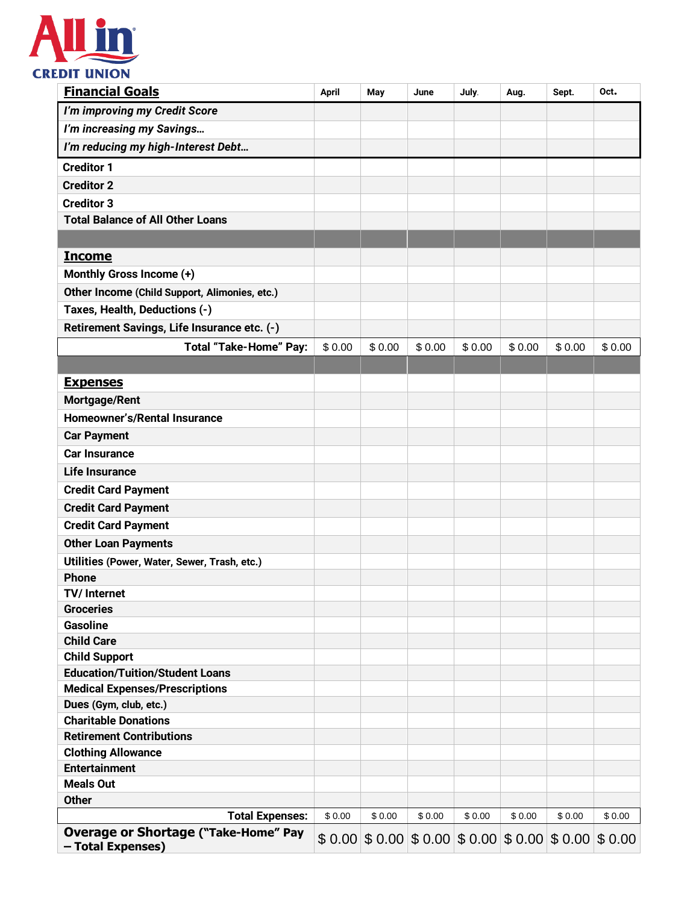

| <b>Financial Goals</b>                                           | <b>April</b> | May    | June   | July.                                                   | Aug.   | Sept.  | Oct.   |
|------------------------------------------------------------------|--------------|--------|--------|---------------------------------------------------------|--------|--------|--------|
| I'm improving my Credit Score                                    |              |        |        |                                                         |        |        |        |
| I'm increasing my Savings                                        |              |        |        |                                                         |        |        |        |
| I'm reducing my high-Interest Debt                               |              |        |        |                                                         |        |        |        |
| <b>Creditor 1</b>                                                |              |        |        |                                                         |        |        |        |
| <b>Creditor 2</b>                                                |              |        |        |                                                         |        |        |        |
| <b>Creditor 3</b>                                                |              |        |        |                                                         |        |        |        |
| <b>Total Balance of All Other Loans</b>                          |              |        |        |                                                         |        |        |        |
|                                                                  |              |        |        |                                                         |        |        |        |
| <b>Income</b>                                                    |              |        |        |                                                         |        |        |        |
| Monthly Gross Income (+)                                         |              |        |        |                                                         |        |        |        |
| Other Income (Child Support, Alimonies, etc.)                    |              |        |        |                                                         |        |        |        |
| Taxes, Health, Deductions (-)                                    |              |        |        |                                                         |        |        |        |
| Retirement Savings, Life Insurance etc. (-)                      |              |        |        |                                                         |        |        |        |
| <b>Total "Take-Home" Pay:</b>                                    | \$0.00       | \$0.00 | \$0.00 | \$0.00                                                  | \$0.00 | \$0.00 | \$0.00 |
|                                                                  |              |        |        |                                                         |        |        |        |
| <b>Expenses</b>                                                  |              |        |        |                                                         |        |        |        |
| Mortgage/Rent                                                    |              |        |        |                                                         |        |        |        |
| Homeowner's/Rental Insurance                                     |              |        |        |                                                         |        |        |        |
| <b>Car Payment</b>                                               |              |        |        |                                                         |        |        |        |
| <b>Car Insurance</b>                                             |              |        |        |                                                         |        |        |        |
| <b>Life Insurance</b>                                            |              |        |        |                                                         |        |        |        |
| <b>Credit Card Payment</b>                                       |              |        |        |                                                         |        |        |        |
| <b>Credit Card Payment</b>                                       |              |        |        |                                                         |        |        |        |
| <b>Credit Card Payment</b>                                       |              |        |        |                                                         |        |        |        |
| <b>Other Loan Payments</b>                                       |              |        |        |                                                         |        |        |        |
| Utilities (Power, Water, Sewer, Trash, etc.)                     |              |        |        |                                                         |        |        |        |
| <b>Phone</b>                                                     |              |        |        |                                                         |        |        |        |
| TV/ Internet                                                     |              |        |        |                                                         |        |        |        |
| <b>Groceries</b>                                                 |              |        |        |                                                         |        |        |        |
| <b>Gasoline</b>                                                  |              |        |        |                                                         |        |        |        |
| <b>Child Care</b>                                                |              |        |        |                                                         |        |        |        |
| <b>Child Support</b>                                             |              |        |        |                                                         |        |        |        |
| <b>Education/Tuition/Student Loans</b>                           |              |        |        |                                                         |        |        |        |
| <b>Medical Expenses/Prescriptions</b>                            |              |        |        |                                                         |        |        |        |
| Dues (Gym, club, etc.)                                           |              |        |        |                                                         |        |        |        |
| <b>Charitable Donations</b>                                      |              |        |        |                                                         |        |        |        |
| <b>Retirement Contributions</b>                                  |              |        |        |                                                         |        |        |        |
| <b>Clothing Allowance</b>                                        |              |        |        |                                                         |        |        |        |
| <b>Entertainment</b>                                             |              |        |        |                                                         |        |        |        |
| <b>Meals Out</b>                                                 |              |        |        |                                                         |        |        |        |
| <b>Other</b>                                                     |              |        |        |                                                         |        |        |        |
| <b>Total Expenses:</b>                                           | \$0.00       | \$0.00 | \$0.00 | \$0.00                                                  | \$0.00 | \$0.00 | \$0.00 |
| <b>Overage or Shortage ("Take-Home" Pay</b><br>- Total Expenses) | \$0.00       |        |        | $$0.00 \times 0.00 \times 0.00 \times 0.00 \times 0.00$ |        |        | \$0.00 |